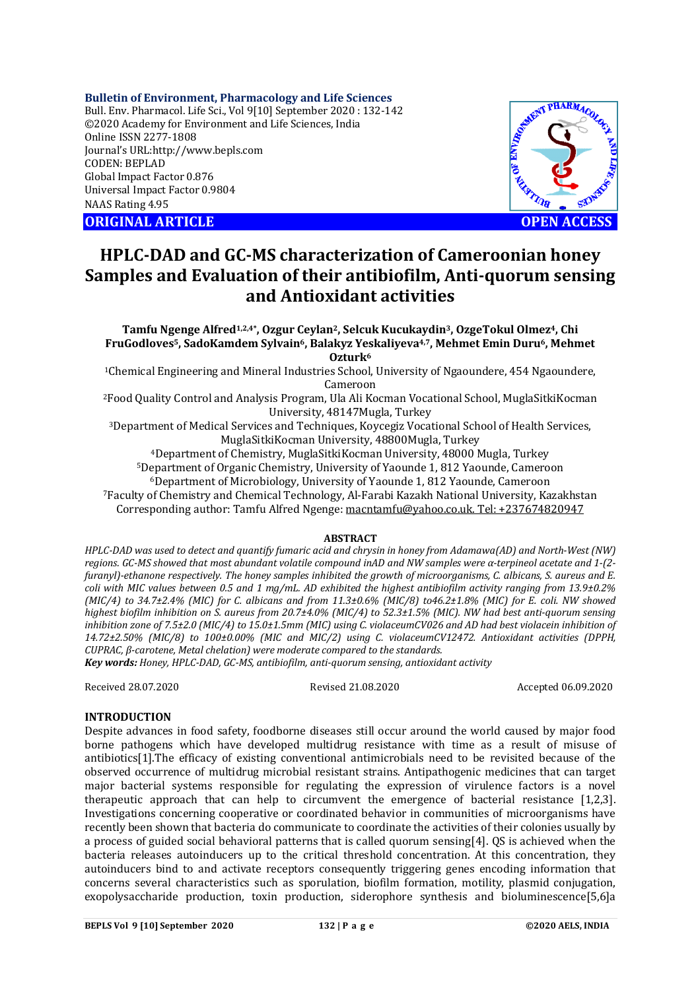### **Bulletin of Environment, Pharmacology and Life Sciences**

Bull. Env. Pharmacol. Life Sci., Vol 9[10] September 2020 : 132-142 ©2020 Academy for Environment and Life Sciences, India Online ISSN 2277-1808 Journal's URL:<http://www.bepls.com> CODEN: BEPLAD Global Impact Factor 0.876 Universal Impact Factor 0.9804 NAAS Rating 4.95



# **HPLC-DAD and GC-MS characterization of Cameroonian honey Samples and Evaluation of their antibiofilm, Anti-quorum sensing and Antioxidant activities**

**Tamfu Ngenge Alfred1,2,4\*, Ozgur Ceylan2, Selcuk Kucukaydin3, OzgeTokul Olmez4, Chi FruGodloves5, SadoKamdem Sylvain6, Balakyz Yeskaliyeva4,7, Mehmet Emin Duru6, Mehmet Ozturk<sup>6</sup>**

<sup>1</sup>Chemical Engineering and Mineral Industries School, University of Ngaoundere, 454 Ngaoundere, Cameroon

<sup>2</sup>Food Quality Control and Analysis Program, Ula Ali Kocman Vocational School, MuglaSitkiKocman University, 48147Mugla, Turkey

<sup>3</sup>Department of Medical Services and Techniques, Koycegiz Vocational School of Health Services, MuglaSitkiKocman University, 48800Mugla, Turkey

<sup>4</sup>Department of Chemistry, MuglaSitkiKocman University, 48000 Mugla, Turkey

<sup>5</sup>Department of Organic Chemistry, University of Yaounde 1, 812 Yaounde, Cameroon

<sup>6</sup>Department of Microbiology, University of Yaounde 1, 812 Yaounde, Cameroon

<sup>7</sup>Faculty of Chemistry and Chemical Technology, Al-Farabi Kazakh National University, Kazakhstan Corresponding author: Tamfu Alfred Ngenge: [macntamfu@yahoo.co.uk.](mailto:macntamfu@yahoo.co.uk.) Tel: +237674820947

# **ABSTRACT**

*HPLC-DAD was used to detect and quantify fumaric acid and chrysin in honey from Adamawa(AD) and North-West (NW) regions. GC-MS showed that most abundant volatile compound inAD and NW samples were α-terpineol acetate and 1-(2 furanyl)-ethanone respectively. The honey samples inhibited the growth of microorganisms, C. albicans, S. aureus and E. coli with MIC values between 0.5 and 1 mg/mL. AD exhibited the highest antibiofilm activity ranging from 13.9±0.2% (MIC/4) to 34.7±2.4% (MIC) for C. albicans and from 11.3±0.6% (MIC/8) to46.2±1.8% (MIC) for E. coli. NW showed highest biofilm inhibition on S. aureus from 20.7±4.0% (MIC/4) to 52.3±1.5% (MIC). NW had best anti-quorum sensing inhibition zone of 7.5±2.0 (MIC/4) to 15.0±1.5mm (MIC) using C. violaceumCV026 and AD had best violacein inhibition of 14.72±2.50% (MIC/8) to 100±0.00% (MIC and MIC/2) using C. violaceumCV12472. Antioxidant activities (DPPH, CUPRAC, β-carotene, Metal chelation) were moderate compared to the standards.*

*Key words: Honey, HPLC-DAD, GC-MS, antibiofilm, anti-quorum sensing, antioxidant activity*

Received 28.07.2020 Revised 21.08.2020 Accepted 06.09.2020

### **INTRODUCTION**

Despite advances in food safety, foodborne diseases still occur around the world caused by major food borne pathogens which have developed multidrug resistance with time as a result of misuse of antibiotics[1].The efficacy of existing conventional antimicrobials need to be revisited because of the observed occurrence of multidrug microbial resistant strains. Antipathogenic medicines that can target major bacterial systems responsible for regulating the expression of virulence factors is a novel therapeutic approach that can help to circumvent the emergence of bacterial resistance [1,2,3]. Investigations concerning cooperative or coordinated behavior in communities of microorganisms have recently been shown that bacteria do communicate to coordinate the activities of their colonies usually by a process of guided social behavioral patterns that is called quorum sensing[4]. QS is achieved when the bacteria releases autoinducers up to the critical threshold concentration. At this concentration, they autoinducers bind to and activate receptors consequently triggering genes encoding information that concerns several characteristics such as sporulation, biofilm formation, motility, plasmid conjugation, exopolysaccharide production, toxin production, siderophore synthesis and bioluminescence[5,6]a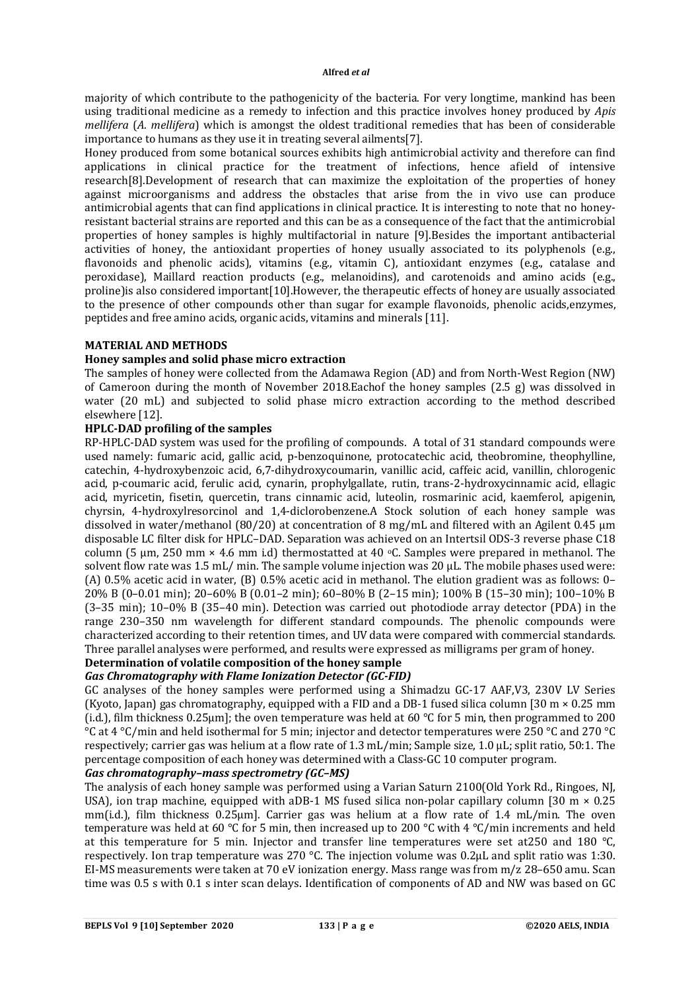majority of which contribute to the pathogenicity of the bacteria. For very longtime, mankind has been using traditional medicine as a remedy to infection and this practice involves honey produced by *Apis mellifera* (*A. mellifera*) which is amongst the oldest traditional remedies that has been of considerable importance to humans as they use it in treating several ailments[7].

Honey produced from some botanical sources exhibits high antimicrobial activity and therefore can find applications in clinical practice for the treatment of infections, hence afield of intensive research[8].Development of research that can maximize the exploitation of the properties of honey against microorganisms and address the obstacles that arise from the in vivo use can produce antimicrobial agents that can find applications in clinical practice. It is interesting to note that no honeyresistant bacterial strains are reported and this can be as a consequence of the fact that the antimicrobial properties of honey samples is highly multifactorial in nature [9].Besides the important antibacterial activities of honey, the antioxidant properties of honey usually associated to its polyphenols (e.g., flavonoids and phenolic acids), vitamins (e.g., vitamin C), antioxidant enzymes (e.g., catalase and peroxidase), Maillard reaction products (e.g., melanoidins), and carotenoids and amino acids (e.g., proline)is also considered important[10].However, the therapeutic effects of honey are usually associated to the presence of other compounds other than sugar for example flavonoids, phenolic acids,enzymes, peptides and free amino acids, organic acids, vitamins and minerals [11].

### **MATERIAL AND METHODS**

### **Honey samples and solid phase micro extraction**

The samples of honey were collected from the Adamawa Region (AD) and from North-West Region (NW) of Cameroon during the month of November 2018.Eachof the honey samples (2.5 g) was dissolved in water (20 mL) and subjected to solid phase micro extraction according to the method described elsewhere [12].

## **HPLC-DAD profiling of the samples**

RP-HPLC-DAD system was used for the profiling of compounds. A total of 31 standard compounds were used namely: fumaric acid, gallic acid, p-benzoquinone, protocatechic acid, theobromine, theophylline, catechin, 4-hydroxybenzoic acid, 6,7-dihydroxycoumarin, vanillic acid, caffeic acid, vanillin, chlorogenic acid, p-coumaric acid, ferulic acid, cynarin, prophylgallate, rutin, trans-2-hydroxycinnamic acid, ellagic acid, myricetin, fisetin, quercetin, trans cinnamic acid, luteolin, rosmarinic acid, kaemferol, apigenin, chyrsin, 4-hydroxylresorcinol and 1,4-diclorobenzene.A Stock solution of each honey sample was dissolved in water/methanol (80/20) at concentration of 8 mg/mL and filtered with an Agilent 0.45 µm disposable LC filter disk for HPLC–DAD. Separation was achieved on an Intertsil ODS-3 reverse phase C18 column (5 µm, 250 mm  $\times$  4.6 mm i.d) thermostatted at 40 °C. Samples were prepared in methanol. The solvent flow rate was 1.5 mL/ min. The sample volume injection was 20 μL. The mobile phases used were: (A) 0.5% acetic acid in water, (B) 0.5% acetic acid in methanol. The elution gradient was as follows: 0– 20% B (0–0.01 min); 20–60% B (0.01–2 min); 60–80% B (2–15 min); 100% B (15–30 min); 100–10% B (3–35 min); 10–0% B (35–40 min). Detection was carried out photodiode array detector (PDA) in the range 230–350 nm wavelength for different standard compounds. The phenolic compounds were characterized according to their retention times, and UV data were compared with commercial standards. Three parallel analyses were performed, and results were expressed as milligrams per gram of honey. **Determination of volatile composition of the honey sample**

# *Gas Chromatography with Flame Ionization Detector (GC-FID)*

GC analyses of the honey samples were performed using a Shimadzu GC-17 AAF,V3, 230V LV Series (Kyoto, Japan) gas chromatography, equipped with a FID and a DB-1 fused silica column [30 m × 0.25 mm (i.d.), film thickness 0.25μm]; the oven temperature was held at 60 °C for 5 min, then programmed to 200 °C at 4 °C/min and held isothermal for 5 min; injector and detector temperatures were 250 °C and 270 °C respectively; carrier gas was helium at a flow rate of 1.3 mL/min; Sample size, 1.0 μL; split ratio, 50:1. The percentage composition of each honey was determined with a Class-GC 10 computer program.

# *Gas chromatography–mass spectrometry (GC–MS)*

The analysis of each honey sample was performed using a Varian Saturn 2100(Old York Rd., Ringoes, NJ, USA), ion trap machine, equipped with aDB-1 MS fused silica non-polar capillary column [30 m  $\times$  0.25 mm(i.d.), film thickness 0.25μm]. Carrier gas was helium at a flow rate of 1.4 mL/min. The oven temperature was held at 60 °C for 5 min, then increased up to 200 °C with 4 °C/min increments and held at this temperature for 5 min. Injector and transfer line temperatures were set at 250 and 180 °C. respectively. Ion trap temperature was 270 °C. The injection volume was 0.2μL and split ratio was 1:30. EI-MS measurements were taken at 70 eV ionization energy. Mass range was from m/z 28–650 amu. Scan time was 0.5 s with 0.1 s inter scan delays. Identification of components of AD and NW was based on GC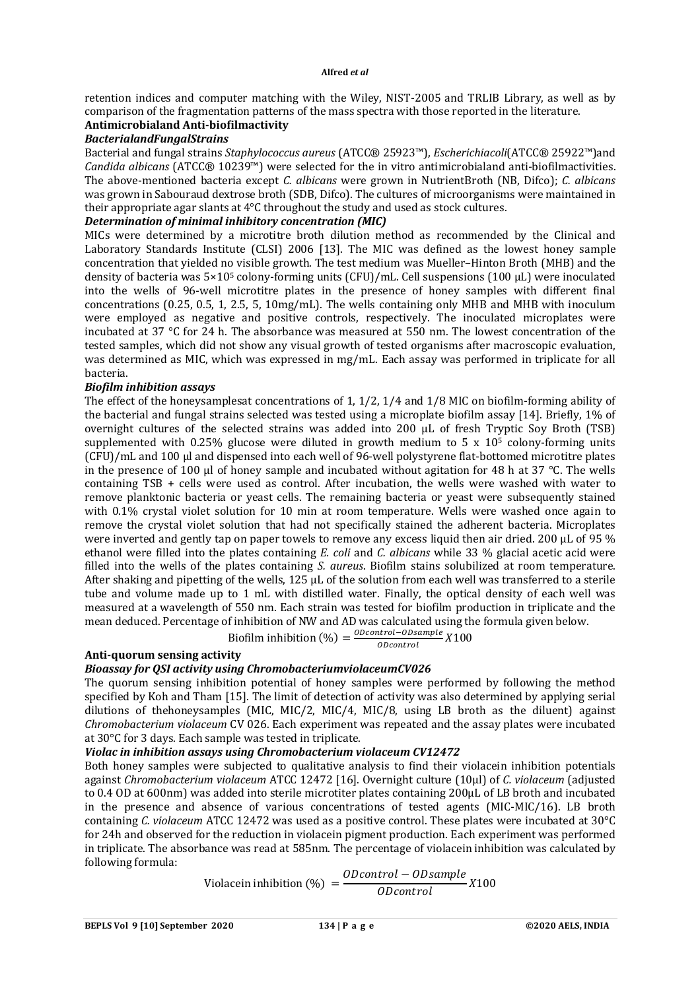retention indices and computer matching with the Wiley, NIST-2005 and TRLIB Library, as well as by comparison of the fragmentation patterns of the mass spectra with those reported in the literature.

# **Antimicrobialand Anti-biofilmactivity**

# *BacterialandFungalStrains*

Bacterial and fungal strains *Staphylococcus aureus* (ATCC® 25923™), *Escherichiacoli*(ATCC® 25922™)and *Candida albicans* (ATCC® 10239™) were selected for the in vitro antimicrobialand anti-biofilmactivities. The above-mentioned bacteria except *C. albicans* were grown in NutrientBroth (NB, Difco); *C. albicans* was grown in Sabouraud dextrose broth (SDB, Difco). The cultures of microorganisms were maintained in their appropriate agar slants at 4°C throughout the study and used as stock cultures.

# *Determination of minimal inhibitory concentration (MIC)*

MICs were determined by a microtitre broth dilution method as recommended by the Clinical and Laboratory Standards Institute (CLSI) 2006 [13]. The MIC was defined as the lowest honey sample concentration that yielded no visible growth. The test medium was Mueller–Hinton Broth (MHB) and the density of bacteria was 5×10<sup>5</sup> colony-forming units (CFU)/mL. Cell suspensions (100 μL) were inoculated into the wells of 96-well microtitre plates in the presence of honey samples with different final concentrations (0.25, 0.5, 1, 2.5, 5, 10mg/mL). The wells containing only MHB and MHB with inoculum were employed as negative and positive controls, respectively. The inoculated microplates were incubated at 37 °C for 24 h. The absorbance was measured at 550 nm. The lowest concentration of the tested samples, which did not show any visual growth of tested organisms after macroscopic evaluation, was determined as MIC, which was expressed in mg/mL. Each assay was performed in triplicate for all bacteria.

### *Biofilm inhibition assays*

The effect of the honeysamplesat concentrations of 1, 1/2, 1/4 and 1/8 MIC on biofilm-forming ability of the bacterial and fungal strains selected was tested using a microplate biofilm assay [14]. Briefly, 1% of overnight cultures of the selected strains was added into 200 μL of fresh Tryptic Soy Broth (TSB) supplemented with 0.25% glucose were diluted in growth medium to 5  $\times$  10<sup>5</sup> colony-forming units (CFU)/mL and 100 μl and dispensed into each well of 96-well polystyrene flat-bottomed microtitre plates in the presence of 100 μl of honey sample and incubated without agitation for 48 h at 37 °C. The wells containing TSB + cells were used as control. After incubation, the wells were washed with water to remove planktonic bacteria or yeast cells. The remaining bacteria or yeast were subsequently stained with 0.1% crystal violet solution for 10 min at room temperature. Wells were washed once again to remove the crystal violet solution that had not specifically stained the adherent bacteria. Microplates were inverted and gently tap on paper towels to remove any excess liquid then air dried. 200 μL of 95 % ethanol were filled into the plates containing *E. coli* and *C. albicans* while 33 % glacial acetic acid were filled into the wells of the plates containing *S. aureus*. Biofilm stains solubilized at room temperature. After shaking and pipetting of the wells, 125 μL of the solution from each well was transferred to a sterile tube and volume made up to 1 mL with distilled water. Finally, the optical density of each well was measured at a wavelength of 550 nm. Each strain was tested for biofilm production in triplicate and the mean deduced. Percentage of inhibition of NW and AD was calculated using the formula given below.

Biofilm inhibition  $\left(\% \right) = \frac{0$  Dcontrol - Obsample X100 0Dcontrol

# **Anti-quorum sensing activity**

# *Bioassay for QSI activity using ChromobacteriumviolaceumCV026*

The quorum sensing inhibition potential of honey samples were performed by following the method specified by Koh and Tham [15]. The limit of detection of activity was also determined by applying serial dilutions of thehoneysamples (MIC, MIC/2, MIC/4, MIC/8, using LB broth as the diluent) against *Chromobacterium violaceum* CV 026. Each experiment was repeated and the assay plates were incubated at 30°C for 3 days. Each sample was tested in triplicate.

# *Violac in inhibition assays using Chromobacterium violaceum CV12472*

Both honey samples were subjected to qualitative analysis to find their violacein inhibition potentials against *Chromobacterium violaceum* ATCC 12472 [16]. Overnight culture (10μl) of *C. violaceum* (adjusted to 0.4 OD at 600nm) was added into sterile microtiter plates containing 200μL of LB broth and incubated in the presence and absence of various concentrations of tested agents (MIC-MIC/16). LB broth containing *C. violaceum* ATCC 12472 was used as a positive control. These plates were incubated at 30°C for 24h and observed for the reduction in violacein pigment production. Each experiment was performed in triplicate. The absorbance was read at 585nm. The percentage of violacein inhibition was calculated by following formula:

$$
Violacein inhibition (%) = \frac{ODcontrol - ODsample}{ODcontrol} X100
$$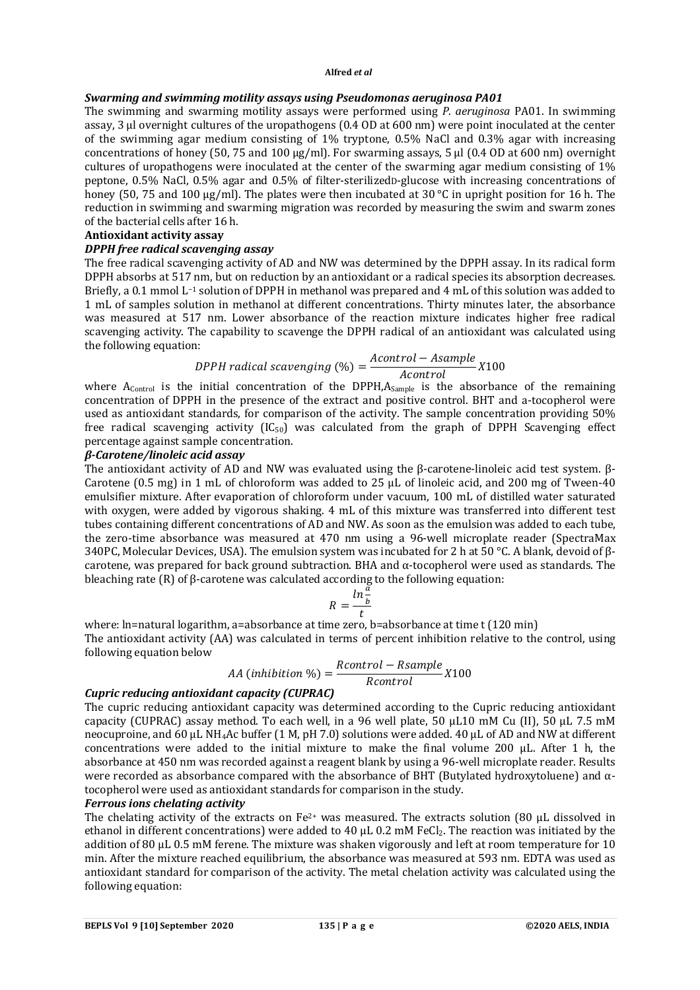### *Swarming and swimming motility assays using Pseudomonas aeruginosa PA01*

The swimming and swarming motility assays were performed using *P. aeruginosa* PA01. In swimming assay, 3 μl overnight cultures of the uropathogens (0.4 OD at 600 nm) were point inoculated at the center of the swimming agar medium consisting of 1% tryptone, 0.5% NaCl and 0.3% agar with increasing concentrations of honey (50, 75 and 100 μg/ml). For swarming assays, 5 μl (0.4 OD at 600 nm) overnight cultures of uropathogens were inoculated at the center of the swarming agar medium consisting of 1% peptone, 0.5% NaCl, 0.5% agar and 0.5% of filter-sterilizedD-glucose with increasing concentrations of honey (50, 75 and 100  $\mu$ g/ml). The plates were then incubated at 30 °C in upright position for 16 h. The reduction in swimming and swarming migration was recorded by measuring the swim and swarm zones of the bacterial cells after 16 h.

### **Antioxidant activity assay**

### *DPPH free radical scavenging assay*

The free radical scavenging activity of AD and NW was determined by the DPPH assay. In its radical form DPPH absorbs at 517 nm, but on reduction by an antioxidant or a radical species its absorption decreases. Briefly, a 0.1 mmol L−1 solution of DPPH in methanol was prepared and 4 mL of this solution was added to 1 mL of samples solution in methanol at different concentrations. Thirty minutes later, the absorbance was measured at 517 nm. Lower absorbance of the reaction mixture indicates higher free radical scavenging activity. The capability to scavenge the DPPH radical of an antioxidant was calculated using the following equation:

$$
DPPH \, radical \,scavenging \, (\%) = \frac{Acontrol - Asample}{A control} \, X100
$$

where  $A_{\text{Control}}$  is the initial concentration of the DPPH, $A_{\text{Sample}}$  is the absorbance of the remaining concentration of DPPH in the presence of the extract and positive control. BHT and a-tocopherol were used as antioxidant standards, for comparison of the activity. The sample concentration providing 50% free radical scavenging activity  $(IC_{50})$  was calculated from the graph of DPPH Scavenging effect percentage against sample concentration.

### *β-Carotene/linoleic acid assay*

The antioxidant activity of AD and NW was evaluated using the β-carotene-linoleic acid test system. β-Carotene (0.5 mg) in 1 mL of chloroform was added to 25  $\mu$ L of linoleic acid, and 200 mg of Tween-40 emulsifier mixture. After evaporation of chloroform under vacuum, 100 mL of distilled water saturated with oxygen, were added by vigorous shaking. 4 mL of this mixture was transferred into different test tubes containing different concentrations of AD and NW. As soon as the emulsion was added to each tube, the zero-time absorbance was measured at 470 nm using a 96-well microplate reader (SpectraMax 340PC, Molecular Devices, USA). The emulsion system was incubated for 2 h at 50 °C. A blank, devoid of βcarotene, was prepared for back ground subtraction. BHA and α-tocopherol were used as standards. The bleaching rate  $(R)$  of  $\beta$ -carotene was calculated according to the following equation:

$$
R = \frac{\ln \frac{\breve{a}}{b}}{t}
$$

where: ln=natural logarithm, a=absorbance at time zero, b=absorbance at time t (120 min) The antioxidant activity (AA) was calculated in terms of percent inhibition relative to the control, using following equation below

$$
AA (inhibition %) = \frac{Rcontrol - Rsample}{Rcontrol} X100
$$

### *Cupric reducing antioxidant capacity (CUPRAC)*

The cupric reducing antioxidant capacity was determined according to the Cupric reducing antioxidant capacity (CUPRAC) assay method. To each well, in a 96 well plate, 50 μL10 mM Cu (II), 50 μL 7.5 mM neocuproine, and 60 μL NH4Ac buffer (1 M, pH 7.0) solutions were added. 40 μL of AD and NW at different concentrations were added to the initial mixture to make the final volume 200 μL. After 1 h, the absorbance at 450 nm was recorded against a reagent blank by using a 96-well microplate reader. Results were recorded as absorbance compared with the absorbance of BHT (Butylated hydroxytoluene) and  $\alpha$ tocopherol were used as antioxidant standards for comparison in the study.

# *Ferrous ions chelating activity*

The chelating activity of the extracts on Fe<sup>2+</sup> was measured. The extracts solution (80  $\mu$ L dissolved in ethanol in different concentrations) were added to 40 µL 0.2 mM FeCl<sub>2</sub>. The reaction was initiated by the addition of 80 μL 0.5 mM ferene. The mixture was shaken vigorously and left at room temperature for 10 min. After the mixture reached equilibrium, the absorbance was measured at 593 nm. EDTA was used as antioxidant standard for comparison of the activity. The metal chelation activity was calculated using the following equation: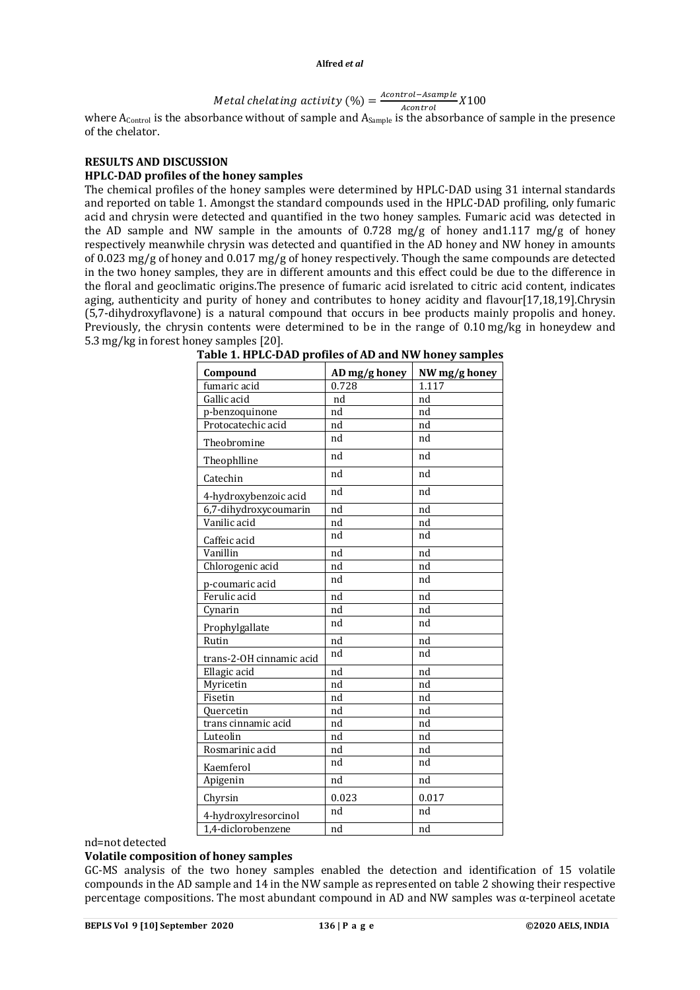#### Metal chelating activity  $(\%) = \frac{Acontrol - Asample}{A|}$  $\frac{1}{100}$   $\frac{1}{200}$   $X100$

where  $A_{\text{Control}}$  is the absorbance without of sample and  $A_{\text{Sample}}$  is the absorbance of sample in the presence of the chelator.

# **RESULTS AND DISCUSSION**

# **HPLC-DAD profiles of the honey samples**

The chemical profiles of the honey samples were determined by HPLC-DAD using 31 internal standards and reported on table 1. Amongst the standard compounds used in the HPLC-DAD profiling, only fumaric acid and chrysin were detected and quantified in the two honey samples. Fumaric acid was detected in the AD sample and NW sample in the amounts of 0.728 mg/g of honey and 1.117 mg/g of honey respectively meanwhile chrysin was detected and quantified in the AD honey and NW honey in amounts of 0.023 mg/g of honey and 0.017 mg/g of honey respectively. Though the same compounds are detected in the two honey samples, they are in different amounts and this effect could be due to the difference in the floral and geoclimatic origins.The presence of fumaric acid isrelated to citric acid content, indicates aging, authenticity and purity of honey and contributes to honey acidity and flavour[17,18,19].Chrysin (5,7-dihydroxyflavone) is a natural compound that occurs in bee products mainly propolis and honey. Previously, the chrysin contents were determined to be in the range of 0.10 mg/kg in honeydew and 5.3 mg/kg in forest honey samples [20].

| Compound                 | AD mg/g honey | NW mg/g honey      |
|--------------------------|---------------|--------------------|
| fumaric acid             | 0.728         | $\overline{1.117}$ |
| Gallic acid              | nd            | nd                 |
| p-benzoquinone           | nd            | nd                 |
| Protocatechic acid       | nd            | nd                 |
| Theobromine              | nd            | nd                 |
| Theophlline              | nd            | nd                 |
| Catechin                 | nd            | nd                 |
| 4-hydroxybenzoic acid    | nd            | nd                 |
| 6,7-dihydroxycoumarin    | nd            | nd                 |
| Vanilic acid             | nd            | nd                 |
| Caffeic acid             | nd            | nd                 |
| Vanillin                 | nd            | nd                 |
| Chlorogenic acid         | nd            | nd                 |
| p-coumaric acid          | nd            | nd                 |
| Ferulic acid             | nd            | nd                 |
| Cynarin                  | nd            | nd                 |
| Prophylgallate           | nd            | nd                 |
| Rutin                    | nd            | nd                 |
| trans-2-OH cinnamic acid | nd            | nd                 |
| Ellagic acid             | nd            | nd                 |
| Myricetin                | nd            | nd                 |
| Fisetin                  | nd            | nd                 |
| Quercetin                | nd            | nd                 |
| trans cinnamic acid      | nd            | nd                 |
| Luteolin                 | nd            | nd                 |
| Rosmarinic acid          | nd            | nd                 |
| Kaemferol                | nd            | nd                 |
| Apigenin                 | nd            | nd                 |
| Chyrsin                  | 0.023         | 0.017              |
| 4-hydroxylresorcinol     | nd            | nd                 |
| 1,4-diclorobenzene       | nd            | nd                 |

**Table 1. HPLC-DAD profiles of AD and NW honey samples**

# nd=not detected

# **Volatile composition of honey samples**

GC-MS analysis of the two honey samples enabled the detection and identification of 15 volatile compounds in the AD sample and 14 in the NW sample as represented on table 2 showing their respective percentage compositions. The most abundant compound in AD and NW samples was α-terpineol acetate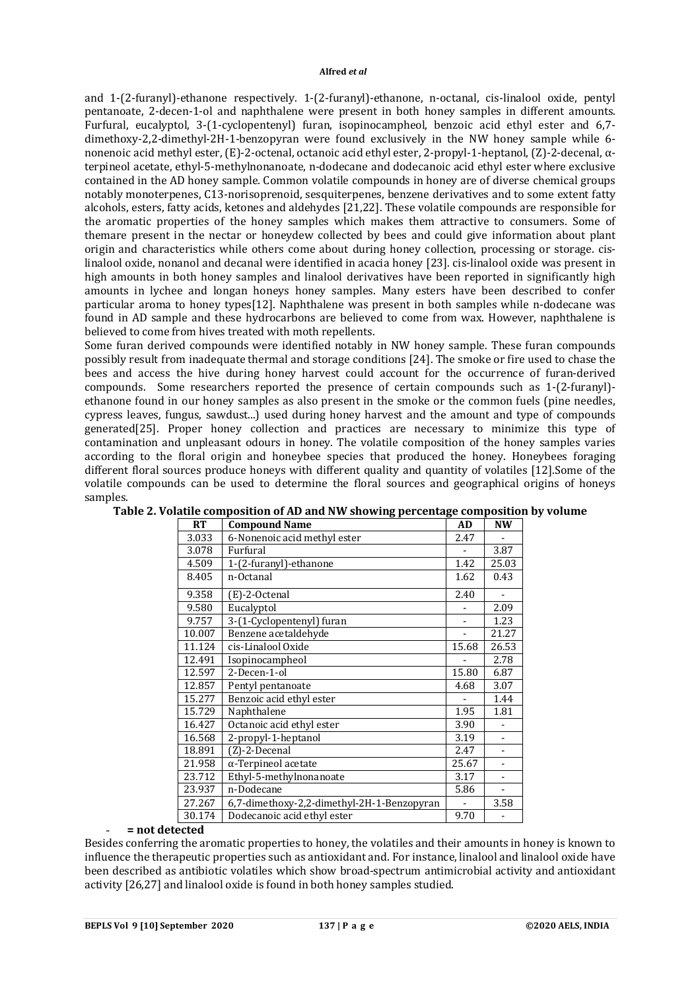and 1-(2-furanyl)-ethanone respectively. 1-(2-furanyl)-ethanone, n-octanal, cis-linalool oxide, pentyl pentanoate, 2-decen-1-ol and naphthalene were present in both honey samples in different amounts. Furfural, eucalyptol, 3-(1-cyclopentenyl) furan, isopinocampheol, benzoic acid ethyl ester and 6,7 dimethoxy-2,2-dimethyl-2H-1-benzopyran were found exclusively in the NW honey sample while 6 nonenoic acid methyl ester, (E)-2-octenal, octanoic acid ethyl ester, 2-propyl-1-heptanol, (Z)-2-decenal, αterpineol acetate, ethyl-5-methylnonanoate, n-dodecane and dodecanoic acid ethyl ester where exclusive contained in the AD honey sample. Common volatile compounds in honey are of diverse chemical groups notably monoterpenes, C13-norisoprenoid, sesquiterpenes, benzene derivatives and to some extent fatty alcohols, esters, fatty acids, ketones and aldehydes [21,22]. These volatile compounds are responsible for the aromatic properties of the honey samples which makes them attractive to consumers. Some of themare present in the nectar or honeydew collected by bees and could give information about plant origin and characteristics while others come about during honey collection, processing or storage. cislinalool oxide, nonanol and decanal were identified in acacia honey [23]. cis-linalool oxide was present in high amounts in both honey samples and linalool derivatives have been reported in significantly high amounts in lychee and longan honeys honey samples. Many esters have been described to confer particular aroma to honey types[12]. Naphthalene was present in both samples while n-dodecane was found in AD sample and these hydrocarbons are believed to come from wax. However, naphthalene is believed to come from hives treated with moth repellents.

Some furan derived compounds were identified notably in NW honey sample. These furan compounds possibly result from inadequate thermal and storage conditions [24]. The smoke or fire used to chase the bees and access the hive during honey harvest could account for the occurrence of furan-derived compounds. Some researchers reported the presence of certain compounds such as 1-(2-furanyl) ethanone found in our honey samples as also present in the smoke or the common fuels (pine needles, cypress leaves, fungus, sawdust...) used during honey harvest and the amount and type of compounds generated[25]. Proper honey collection and practices are necessary to minimize this type of contamination and unpleasant odours in honey. The volatile composition of the honey samples varies according to the floral origin and honeybee species that produced the honey. Honeybees foraging different floral sources produce honeys with different quality and quantity of volatiles [12].Some of the volatile compounds can be used to determine the floral sources and geographical origins of honeys samples.

| RT     | <b>Compound Name</b>                       | AD    | <b>NW</b>                |
|--------|--------------------------------------------|-------|--------------------------|
| 3.033  | 6-Nonenoic acid methyl ester               | 2.47  |                          |
| 3.078  | Furfural                                   |       | 3.87                     |
| 4.509  | 1-(2-furanyl)-ethanone                     | 1.42  | 25.03                    |
| 8.405  | n-Octanal                                  | 1.62  | 0.43                     |
| 9.358  | $(E)$ -2-Octenal                           | 2.40  |                          |
| 9.580  | Eucalyptol                                 |       | 2.09                     |
| 9.757  | 3-(1-Cyclopentenyl) furan                  |       | 1.23                     |
| 10.007 | Benzene acetaldehyde                       |       | 21.27                    |
| 11.124 | cis-Linalool Oxide                         | 15.68 | 26.53                    |
| 12.491 | Isopinocampheol                            |       | 2.78                     |
| 12.597 | 2-Decen-1-ol                               | 15.80 | 6.87                     |
| 12.857 | Pentyl pentanoate                          | 4.68  | 3.07                     |
| 15.277 | Benzoic acid ethyl ester                   |       | 1.44                     |
| 15.729 | Naphthalene                                | 1.95  | 1.81                     |
| 16.427 | Octanoic acid ethyl ester                  | 3.90  |                          |
| 16.568 | 2-propyl-1-heptanol                        | 3.19  |                          |
| 18.891 | $(Z)$ -2-Decenal                           | 2.47  |                          |
| 21.958 | $\alpha$ -Terpineol acetate                | 25.67 | $\overline{\phantom{0}}$ |
| 23.712 | Ethyl-5-methylnonanoate                    | 3.17  |                          |
| 23.937 | n-Dodecane                                 | 5.86  |                          |
| 27.267 | 6,7-dimethoxy-2,2-dimethyl-2H-1-Benzopyran |       | 3.58                     |
| 30.174 | Dodecanoic acid ethyl ester                | 9.70  |                          |

### - **= not detected**

Besides conferring the aromatic properties to honey, the volatiles and their amounts in honey is known to influence the therapeutic properties such as antioxidant and. For instance, linalool and linalool oxide have been described as antibiotic volatiles which show broad-spectrum antimicrobial activity and antioxidant activity [26,27] and linalool oxide is found in both honey samples studied.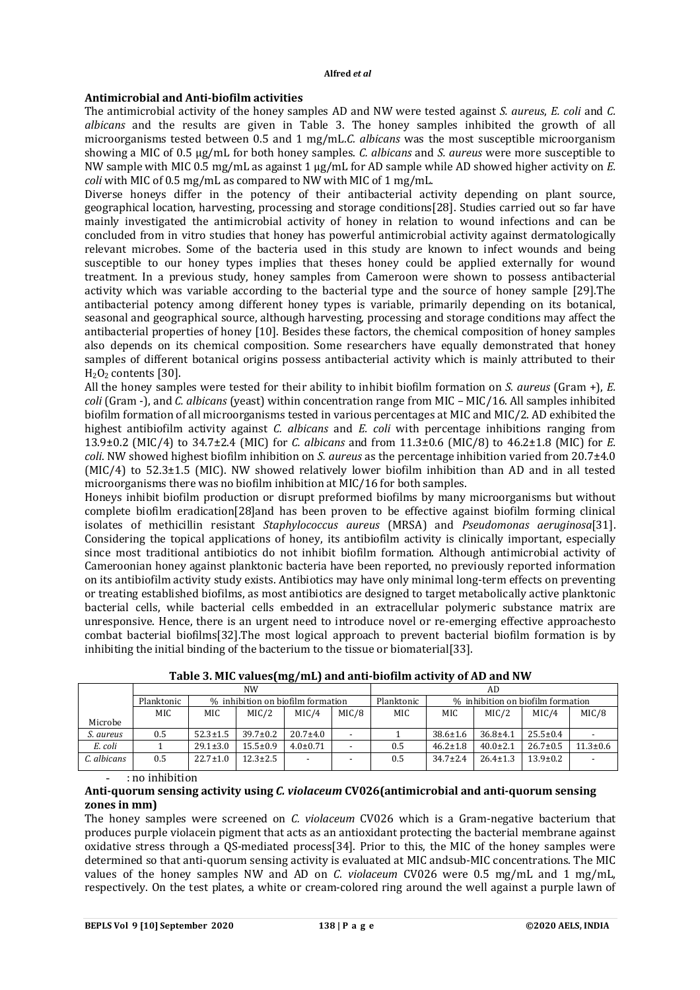# **Antimicrobial and Anti-biofilm activities**

The antimicrobial activity of the honey samples AD and NW were tested against *S. aureus*, *E. coli* and *C. albicans* and the results are given in Table 3. The honey samples inhibited the growth of all microorganisms tested between 0.5 and 1 mg/mL.*C. albicans* was the most susceptible microorganism showing a MIC of 0.5 μg/mL for both honey samples. *C. albicans* and *S. aureus* were more susceptible to NW sample with MIC 0.5 mg/mL as against 1 μg/mL for AD sample while AD showed higher activity on *E. coli* with MIC of 0.5 mg/mL as compared to NW with MIC of 1 mg/mL.

Diverse honeys differ in the potency of their antibacterial activity depending on plant source, geographical location, harvesting, processing and storage conditions[28]. Studies carried out so far have mainly investigated the antimicrobial activity of honey in relation to wound infections and can be concluded from in vitro studies that honey has powerful antimicrobial activity against dermatologically relevant microbes. Some of the bacteria used in this study are known to infect wounds and being susceptible to our honey types implies that theses honey could be applied externally for wound treatment. In a previous study, honey samples from Cameroon were shown to possess antibacterial activity which was variable according to the bacterial type and the source of honey sample [29].The antibacterial potency among different honey types is variable, primarily depending on its botanical, seasonal and geographical source, although harvesting, processing and storage conditions may affect the antibacterial properties of honey [10]. Besides these factors, the chemical composition of honey samples also depends on its chemical composition. Some researchers have equally demonstrated that honey samples of different botanical origins possess antibacterial activity which is mainly attributed to their  $H_2O_2$  contents [30].

All the honey samples were tested for their ability to inhibit biofilm formation on *S. aureus* (Gram +), *E. coli* (Gram -), and *C. albicans* (yeast) within concentration range from MIC – MIC/16. All samples inhibited biofilm formation of all microorganisms tested in various percentages at MIC and MIC/2. AD exhibited the highest antibiofilm activity against *C. albicans* and *E. coli* with percentage inhibitions ranging from 13.9±0.2 (MIC/4) to 34.7±2.4 (MIC) for *C. albicans* and from 11.3±0.6 (MIC/8) to 46.2±1.8 (MIC) for *E. coli*. NW showed highest biofilm inhibition on *S. aureus* as the percentage inhibition varied from 20.7±4.0  $(MIC/4)$  to 52.3 $\pm$ 1.5 (MIC). NW showed relatively lower biofilm inhibition than AD and in all tested microorganisms there was no biofilm inhibition at MIC/16 for both samples.

Honeys inhibit biofilm production or disrupt preformed biofilms by many microorganisms but without complete biofilm eradication[28]and has been proven to be effective against biofilm forming clinical isolates of methicillin resistant *Staphylococcus aureus* (MRSA) and *Pseudomonas aeruginosa*[31]. Considering the topical applications of honey, its antibiofilm activity is clinically important, especially since most traditional antibiotics do not inhibit biofilm formation. Although antimicrobial activity of Cameroonian honey against planktonic bacteria have been reported, no previously reported information on its antibiofilm activity study exists. Antibiotics may have only minimal long-term effects on preventing or treating established biofilms, as most antibiotics are designed to target metabolically active planktonic bacterial cells, while bacterial cells embedded in an extracellular polymeric substance matrix are unresponsive. Hence, there is an urgent need to introduce novel or re-emerging effective approachesto combat bacterial biofilms[32].The most logical approach to prevent bacterial biofilm formation is by inhibiting the initial binding of the bacterium to the tissue or biomaterial[33].

|             | NW         |                                   |                |                          | AD                       |                                   |                |                |                |                |
|-------------|------------|-----------------------------------|----------------|--------------------------|--------------------------|-----------------------------------|----------------|----------------|----------------|----------------|
|             | Planktonic | % inhibition on biofilm formation |                |                          | Planktonic               | % inhibition on biofilm formation |                |                |                |                |
|             | MIC        | MIC                               | MIC/2          | MIC/4                    | MIC/8                    | MIC                               | MIC            | MIC/2          | MIC/4          | MIC/8          |
| Microbe     |            |                                   |                |                          |                          |                                   |                |                |                |                |
| S. aureus   | 0.5        | $52.3 \pm 1.5$                    | $39.7 \pm 0.2$ | $20.7 \pm 4.0$           |                          |                                   | $38.6 \pm 1.6$ | $36.8 \pm 4.1$ | $25.5 \pm 0.4$ |                |
| E. coli     |            | $29.1 \pm 3.0$                    | $15.5 \pm 0.9$ | $4.0 \pm 0.71$           |                          | 0.5                               | $46.2 \pm 1.8$ | $40.0 \pm 2.1$ | $26.7 \pm 0.5$ | $11.3 \pm 0.6$ |
| C. albicans | 0.5        | $22.7 \pm 1.0$                    | $12.3 \pm 2.5$ | $\overline{\phantom{0}}$ | $\overline{\phantom{0}}$ | 0.5                               | $34.7 \pm 2.4$ | $26.4 \pm 1.3$ | $13.9 \pm 0.2$ |                |

**Table 3. MIC values(mg/mL) and anti-biofilm activity of AD and NW**

- : no inhibition

### **Anti-quorum sensing activity using** *C. violaceum* **CV026(antimicrobial and anti-quorum sensing zones in mm)**

The honey samples were screened on *C. violaceum* CV026 which is a Gram-negative bacterium that produces purple violacein pigment that acts as an antioxidant protecting the bacterial membrane against oxidative stress through a QS-mediated process[34]. Prior to this, the MIC of the honey samples were determined so that anti-quorum sensing activity is evaluated at MIC andsub-MIC concentrations. The MIC values of the honey samples NW and AD on *C. violaceum* CV026 were 0.5 mg/mL and 1 mg/mL, respectively. On the test plates, a white or cream-colored ring around the well against a purple lawn of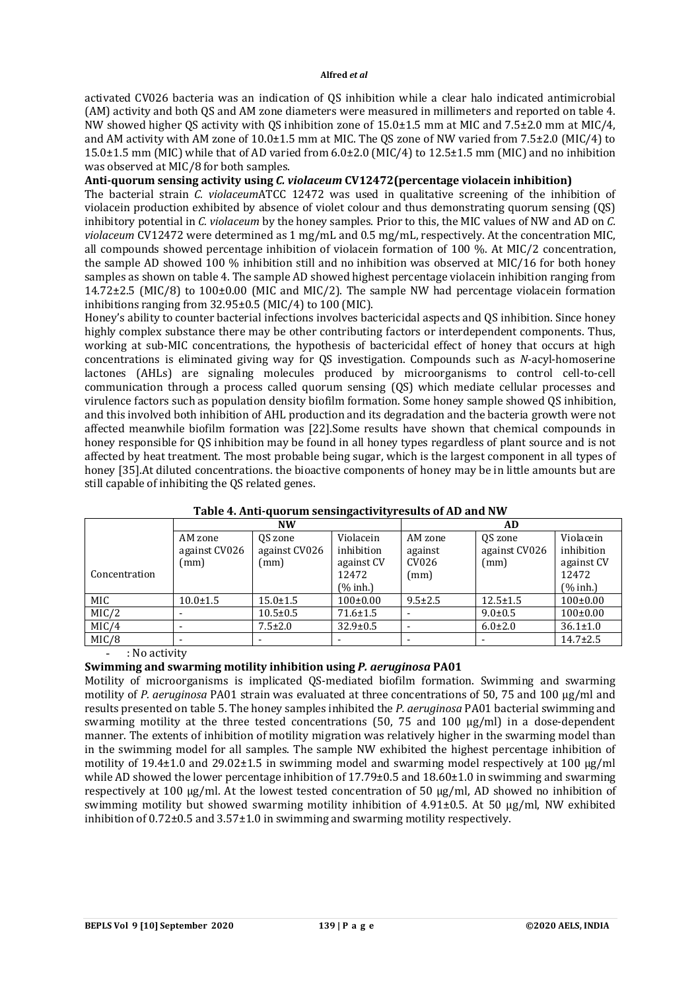activated CV026 bacteria was an indication of QS inhibition while a clear halo indicated antimicrobial (AM) activity and both QS and AM zone diameters were measured in millimeters and reported on table 4. NW showed higher OS activity with OS inhibition zone of  $15.0\pm1.5$  mm at MIC and  $7.5\pm2.0$  mm at MIC/4, and AM activity with AM zone of 10.0±1.5 mm at MIC. The QS zone of NW varied from 7.5±2.0 (MIC/4) to 15.0±1.5 mm (MIC) while that of AD varied from 6.0±2.0 (MIC/4) to 12.5±1.5 mm (MIC) and no inhibition was observed at MIC/8 for both samples.

# **Anti-quorum sensing activity using** *C. violaceum* **CV12472(percentage violacein inhibition)**

The bacterial strain *C. violaceum*ATCC 12472 was used in qualitative screening of the inhibition of violacein production exhibited by absence of violet colour and thus demonstrating quorum sensing (QS) inhibitory potential in *C. violaceum* by the honey samples. Prior to this, the MIC values of NW and AD on *C. violaceum* CV12472 were determined as 1 mg/mL and 0.5 mg/mL, respectively. At the concentration MIC, all compounds showed percentage inhibition of violacein formation of 100 %. At MIC/2 concentration, the sample AD showed 100 % inhibition still and no inhibition was observed at MIC/16 for both honey samples as shown on table 4. The sample AD showed highest percentage violacein inhibition ranging from 14.72±2.5 (MIC/8) to 100±0.00 (MIC and MIC/2). The sample NW had percentage violacein formation inhibitions ranging from 32.95±0.5 (MIC/4) to 100 (MIC).

Honey's ability to counter bacterial infections involves bactericidal aspects and QS inhibition. Since honey highly complex substance there may be other contributing factors or interdependent components. Thus, working at sub-MIC concentrations, the hypothesis of bactericidal effect of honey that occurs at high concentrations is eliminated giving way for QS investigation. Compounds such as *N*-acyl-homoserine lactones (AHLs) are signaling molecules produced by microorganisms to control cell-to-cell communication through a process called quorum sensing (QS) which mediate cellular processes and virulence factors such as population density biofilm formation. Some honey sample showed QS inhibition, and this involved both inhibition of AHL production and its degradation and the bacteria growth were not affected meanwhile biofilm formation was [22].Some results have shown that chemical compounds in honey responsible for QS inhibition may be found in all honey types regardless of plant source and is not affected by heat treatment. The most probable being sugar, which is the largest component in all types of honey [35].At diluted concentrations. the bioactive components of honey may be in little amounts but are still capable of inhibiting the QS related genes.

|               |                | <b>NW</b>                |                | AD.           |                |                |
|---------------|----------------|--------------------------|----------------|---------------|----------------|----------------|
|               | AM zone        | OS zone                  | Violacein      | AM zone       | OS zone        | Violacein      |
|               | against CV026  | against CV026            | inhibition     | against       | against CV026  | inhibition     |
|               | (mm)           | (mm)                     | against CV     | CV026         | (mm)           | against CV     |
| Concentration |                |                          | 12472          | (mm)          |                | 12472          |
|               |                |                          | $(%$ inh.      |               |                | $(%$ inh.)     |
| <b>MIC</b>    | $10.0 \pm 1.5$ | $15.0 \pm 1.5$           | $100 \pm 0.00$ | $9.5 \pm 2.5$ | $12.5 \pm 1.5$ | $100 \pm 0.00$ |
| MIC/2         |                | $10.5 \pm 0.5$           | $71.6 \pm 1.5$ |               | $9.0 \pm 0.5$  | $100 \pm 0.00$ |
| MIC/4         |                | $7.5 \pm 2.0$            | $32.9 \pm 0.5$ |               | $6.0 \pm 2.0$  | $36.1 \pm 1.0$ |
| MIC/8         |                | $\overline{\phantom{0}}$ |                |               |                | $14.7 \pm 2.5$ |

### **Table 4. Anti-quorum sensingactivityresults of AD and NW**

- : No activity

### **Swimming and swarming motility inhibition using** *P. aeruginosa* **PA01**

Motility of microorganisms is implicated QS-mediated biofilm formation. Swimming and swarming motility of *P. aeruginosa* PA01 strain was evaluated at three concentrations of 50, 75 and 100 μg/ml and results presented on table 5. The honey samples inhibited the *P. aeruginosa* PA01 bacterial swimming and swarming motility at the three tested concentrations (50, 75 and 100 μg/ml) in a dose-dependent manner. The extents of inhibition of motility migration was relatively higher in the swarming model than in the swimming model for all samples. The sample NW exhibited the highest percentage inhibition of motility of 19.4±1.0 and 29.02±1.5 in swimming model and swarming model respectively at 100 μg/ml while AD showed the lower percentage inhibition of 17.79±0.5 and 18.60±1.0 in swimming and swarming respectively at 100 μg/ml. At the lowest tested concentration of 50 μg/ml, AD showed no inhibition of swimming motility but showed swarming motility inhibition of  $4.91\pm0.5$ . At 50 µg/ml, NW exhibited inhibition of  $0.72\pm0.5$  and  $3.57\pm1.0$  in swimming and swarming motility respectively.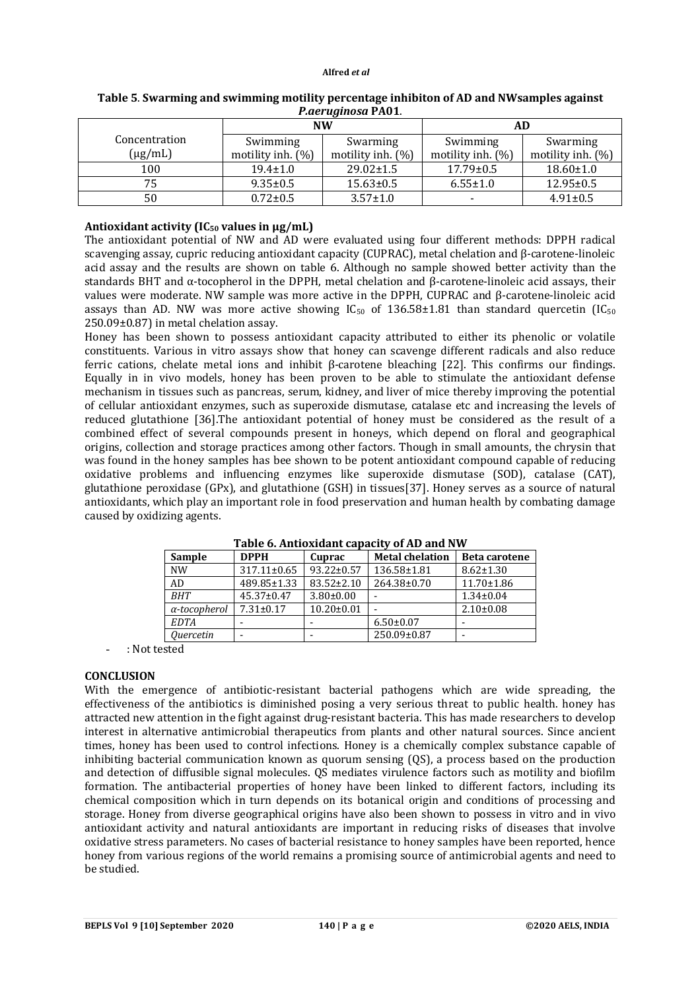| $1.401$ again but 1.10 $\pm$ |                      |                      |                      |                   |  |  |  |
|------------------------------|----------------------|----------------------|----------------------|-------------------|--|--|--|
|                              |                      | <b>NW</b>            | <b>AD</b>            |                   |  |  |  |
| Concentration                | Swimming             | Swarming             | Swimming             | Swarming          |  |  |  |
| $(\mu g/mL)$                 | motility inh. $(\%)$ | motility inh. $(\%)$ | motility inh. $(\%)$ | motility inh. (%) |  |  |  |
| 100                          | $19.4 \pm 1.0$       | $29.02 \pm 1.5$      | $17.79 \pm 0.5$      | $18.60 \pm 1.0$   |  |  |  |
| 75                           | $9.35 \pm 0.5$       | $15.63 \pm 0.5$      | $6.55 \pm 1.0$       | $12.95 \pm 0.5$   |  |  |  |
| 50                           | $0.72 \pm 0.5$       | $3.57 \pm 1.0$       |                      | $4.91 \pm 0.5$    |  |  |  |

**Table 5**. **Swarming and swimming motility percentage inhibiton of AD and NWsamples against** *P.aeruginosa* **PA01**.

# **Antioxidant activity (IC<sup>50</sup> values in μg/mL)**

The antioxidant potential of NW and AD were evaluated using four different methods: DPPH radical scavenging assay, cupric reducing antioxidant capacity (CUPRAC), metal chelation and β-carotene-linoleic acid assay and the results are shown on table 6. Although no sample showed better activity than the standards BHT and  $\alpha$ -tocopherol in the DPPH, metal chelation and  $\beta$ -carotene-linoleic acid assays, their values were moderate. NW sample was more active in the DPPH, CUPRAC and β-carotene-linoleic acid assays than AD. NW was more active showing  $IC_{50}$  of 136.58±1.81 than standard quercetin (IC<sub>50</sub>) 250.09±0.87) in metal chelation assay.

Honey has been shown to possess antioxidant capacity attributed to either its phenolic or volatile constituents. Various in vitro assays show that honey can scavenge different radicals and also reduce ferric cations, chelate metal ions and inhibit β-carotene bleaching [22]. This confirms our findings. Equally in in vivo models, honey has been proven to be able to stimulate the antioxidant defense mechanism in tissues such as pancreas, serum, kidney, and liver of mice thereby improving the potential of cellular antioxidant enzymes, such as superoxide dismutase, catalase etc and increasing the levels of reduced glutathione [36].The antioxidant potential of honey must be considered as the result of a combined effect of several compounds present in honeys, which depend on floral and geographical origins, collection and storage practices among other factors. Though in small amounts, the chrysin that was found in the honey samples has bee shown to be potent antioxidant compound capable of reducing oxidative problems and influencing enzymes like superoxide dismutase (SOD), catalase (CAT), glutathione peroxidase (GPx), and glutathione (GSH) in tissues[37]. Honey serves as a source of natural antioxidants, which play an important role in food preservation and human health by combating damage caused by oxidizing agents.

| <b>Sample</b>           | <b>DPPH</b>       | Cuprac           | <b>Metal chelation</b> | <b>Beta carotene</b> |  |  |
|-------------------------|-------------------|------------------|------------------------|----------------------|--|--|
| <b>NW</b>               | $317.11 \pm 0.65$ | $93.22 \pm 0.57$ | 136.58±1.81            | $8.62 \pm 1.30$      |  |  |
| AD                      | 489.85±1.33       | 83.52±2.10       | 264.38±0.70            | $11.70 \pm 1.86$     |  |  |
| <b>BHT</b>              | $45.37 \pm 0.47$  | $3.80 \pm 0.00$  |                        | $1.34 \pm 0.04$      |  |  |
| $\alpha$ -tocopherol    | $7.31 \pm 0.17$   | $10.20 \pm 0.01$ |                        | $2.10\pm0.08$        |  |  |
| <b>EDTA</b>             |                   |                  | $6.50 \pm 0.07$        |                      |  |  |
| <i><u>Ouercetin</u></i> |                   |                  | 250.09±0.87            |                      |  |  |

**Table 6. Antioxidant capacity of AD and NW**

- : Not tested

### **CONCLUSION**

With the emergence of antibiotic-resistant bacterial pathogens which are wide spreading, the effectiveness of the antibiotics is diminished posing a very serious threat to public health. honey has attracted new attention in the fight against drug-resistant bacteria. This has made researchers to develop interest in alternative antimicrobial therapeutics from plants and other natural sources. Since ancient times, honey has been used to control infections. Honey is a chemically complex substance capable of inhibiting bacterial communication known as quorum sensing (QS), a process based on the production and detection of diffusible signal molecules. QS mediates virulence factors such as motility and biofilm formation. The antibacterial properties of honey have been linked to different factors, including its chemical composition which in turn depends on its botanical origin and conditions of processing and storage. Honey from diverse geographical origins have also been shown to possess in vitro and in vivo antioxidant activity and natural antioxidants are important in reducing risks of diseases that involve oxidative stress parameters. No cases of bacterial resistance to honey samples have been reported, hence honey from various regions of the world remains a promising source of antimicrobial agents and need to be studied.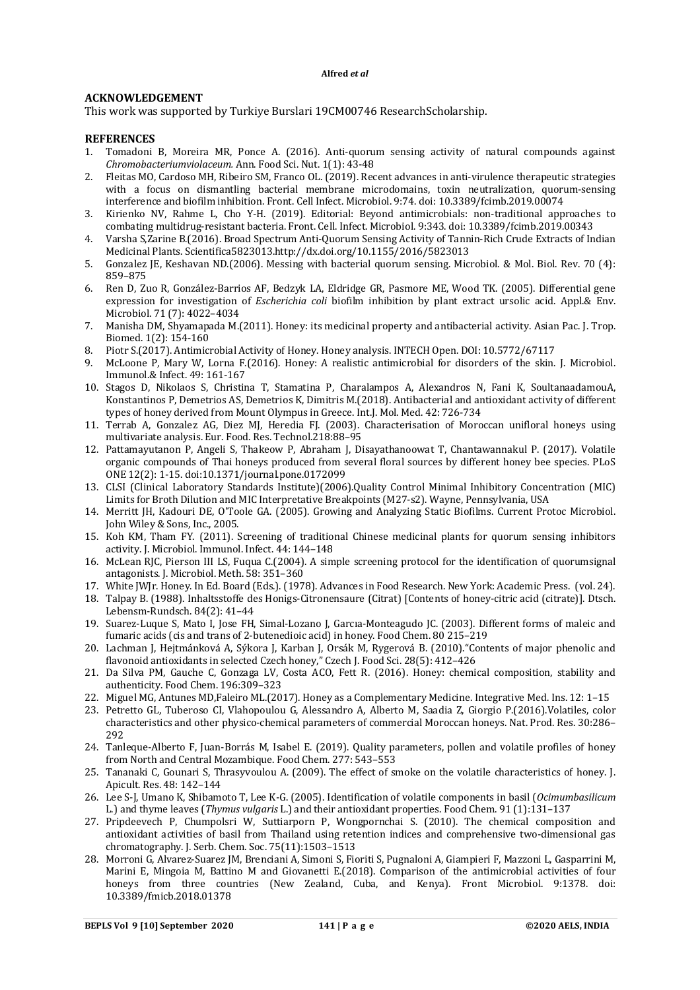### **ACKNOWLEDGEMENT**

This work was supported by Turkiye Burslari 19CM00746 ResearchScholarship.

### **REFERENCES**

- 1. Tomadoni B, Moreira MR, Ponce A. (2016). Anti-quorum sensing activity of natural compounds against *Chromobacteriumviolaceum.* Ann. Food Sci. Nut. 1(1): 43-48
- 2. Fleitas MO, Cardoso MH, Ribeiro SM, Franco OL. (2019). Recent advances in anti-virulence therapeutic strategies with a focus on dismantling bacterial membrane microdomains, toxin neutralization, quorum-sensing interference and biofilm inhibition. Front. Cell Infect. Microbiol. 9:74. doi: 10.3389/fcimb.2019.00074
- 3. Kirienko NV, Rahme L, Cho Y-H. (2019). Editorial: Beyond antimicrobials: non-traditional approaches to combating multidrug-resistant bacteria. Front. Cell. Infect. Microbiol. 9:343. doi: 10.3389/fcimb.2019.00343
- 4. Varsha S,Zarine B.(2016). Broad Spectrum Anti-Quorum Sensing Activity of Tannin-Rich Crude Extracts of Indian Medicinal Plants. Scientifica5823013.<http://dx.doi.org/10.1155/2016/5823013>
- 5. Gonzalez JE, Keshavan ND.(2006). Messing with bacterial quorum sensing. Microbiol. & Mol. Biol. Rev. 70 (4): 859–875
- 6. Ren D, Zuo R, González-Barrios AF, Bedzyk LA, Eldridge GR, Pasmore ME, Wood TK. (2005). Differential gene expression for investigation of *Escherichia coli* biofilm inhibition by plant extract ursolic acid. Appl.& Env. Microbiol. 71 (7): 4022–4034
- 7. Manisha DM, Shyamapada M.(2011). Honey: its medicinal property and antibacterial activity. Asian Pac. J. Trop. Biomed. 1(2): 154-160
- 8. Piotr S.(2017). Antimicrobial Activity of Honey. Honey analysis. INTECH Open. DOI: 10.5772/67117
- 9. McLoone P, Mary W, Lorna F.(2016). Honey: A realistic antimicrobial for disorders of the skin. J. Microbiol. Immunol.& Infect. 49: 161-167
- 10. Stagos D, Nikolaos S, Christina T, Stamatina P, Charalampos A, Alexandros N, Fani K, SoultanaadamouA, Konstantinos P, Demetrios AS, Demetrios K, Dimitris M.(2018). Antibacterial and antioxidant activity of different types of honey derived from Mount Olympus in Greece. Int.J. Mol. Med. 42: 726-734
- 11. Terrab A, Gonzalez AG, Diez MJ, Heredia FJ. (2003). Characterisation of Moroccan unifloral honeys using multivariate analysis. Eur. Food. Res. Technol.218:88–95
- 12. Pattamayutanon P, Angeli S, Thakeow P, Abraham J, Disayathanoowat T, Chantawannakul P. (2017). Volatile organic compounds of Thai honeys produced from several floral sources by different honey bee species. PLoS ONE 12(2): 1-15. doi:10.1371/journal.pone.0172099
- 13. CLSI (Clinical Laboratory Standards Institute)(2006).Quality Control Minimal Inhibitory Concentration (MIC) Limits for Broth Dilution and MIC Interpretative Breakpoints (M27-s2). Wayne, Pennsylvania, USA
- 14. Merritt JH, Kadouri DE, O'Toole GA. (2005). Growing and Analyzing Static Biofilms. Current Protoc Microbiol. John Wiley & Sons, Inc., 2005.
- 15. Koh KM, Tham FY. (2011). Screening of traditional Chinese medicinal plants for quorum sensing inhibitors activity. J. Microbiol. Immunol. Infect. 44: 144–148
- 16. McLean RJC, Pierson III LS, Fuqua C.(2004). A simple screening protocol for the identification of quorumsignal antagonists. J. Microbiol. Meth. 58: 351–360
- 17. White JWJr. Honey. In Ed. Board (Eds.). (1978). Advances in Food Research. New York: Academic Press. (vol. 24).
- 18. Talpay B. (1988). Inhaltsstoffe des Honigs-Citronensaure (Citrat) [Contents of honey-citric acid (citrate)]. Dtsch. Lebensm-Rundsch. 84(2): 41–44
- 19. Suarez-Luque S, Mato I, Jose FH, Simal-Lozano J, Garcıa-Monteagudo JC. (2003). Different forms of maleic and fumaric acids (cis and trans of 2-butenedioic acid) in honey. Food Chem. 80 215–219
- 20. Lachman J, Hejtmánková A, Sýkora J, Karban J, Orsák M, Rygerová B. (2010)."Contents of major phenolic and flavonoid antioxidants in selected Czech honey," Czech J. Food Sci. 28(5): 412–426
- 21. Da Silva PM, Gauche C, Gonzaga LV, Costa ACO, Fett R. (2016). Honey: chemical composition, stability and authenticity. Food Chem. 196:309–323
- 22. Miguel MG, Antunes MD,Faleiro ML.(2017). Honey as a Complementary Medicine. Integrative Med. Ins. 12: 1–15
- 23. Petretto GL, Tuberoso CI, Vlahopoulou G, Alessandro A, Alberto M, Saadia Z, Giorgio P.(2016).Volatiles, color characteristics and other physico-chemical parameters of commercial Moroccan honeys. Nat. Prod. Res. 30:286– 292
- 24. Tanleque-Alberto F, Juan-Borrás M, Isabel E. (2019). Quality parameters, pollen and volatile profiles of honey from North and Central Mozambique. Food Chem. 277: 543–553
- 25. Tananaki C, Gounari S, Thrasyvoulou A. (2009). The effect of smoke on the volatile characteristics of honey. J. Apicult. Res. 48: 142–144
- 26. Lee S-J, Umano K, Shibamoto T, Lee K-G. (2005). Identification of volatile components in basil (*Ocimumbasilicum* L.) and thyme leaves (*Thymus vulgaris* L.) and their antioxidant properties. Food Chem. 91 (1):131–137
- 27. Pripdeevech P, Chumpolsri W, Suttiarporn P, Wongpornchai S. (2010). The chemical composition and antioxidant activities of basil from Thailand using retention indices and comprehensive two-dimensional gas chromatography. J. Serb. Chem. Soc. 75(11):1503–1513
- 28. Morroni G, Alvarez-Suarez JM, Brenciani A, Simoni S, Fioriti S, Pugnaloni A, Giampieri F, Mazzoni L, Gasparrini M, Marini E, Mingoia M, Battino M and Giovanetti E.(2018). Comparison of the antimicrobial activities of four honeys from three countries (New Zealand, Cuba, and Kenya). Front Microbiol. 9:1378. doi: 10.3389/fmicb.2018.01378